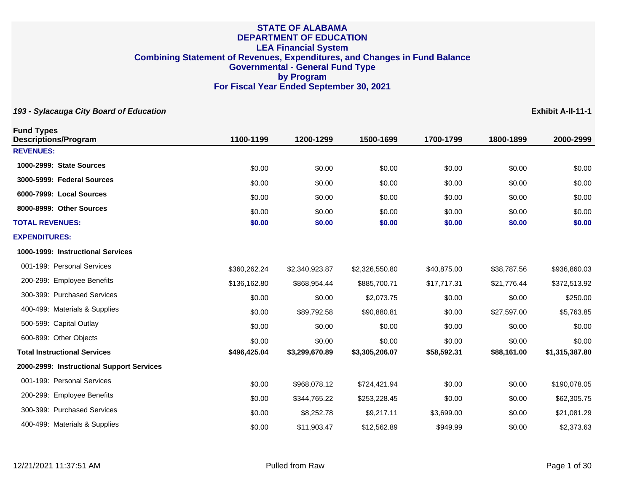| 193 - Sylacauga City Board of Education          |              |                |                |             |             | Exhibit A-II-11-1 |
|--------------------------------------------------|--------------|----------------|----------------|-------------|-------------|-------------------|
| <b>Fund Types</b><br><b>Descriptions/Program</b> | 1100-1199    | 1200-1299      | 1500-1699      | 1700-1799   | 1800-1899   | 2000-2999         |
| <b>REVENUES:</b>                                 |              |                |                |             |             |                   |
| 1000-2999: State Sources                         | \$0.00       | \$0.00         | \$0.00         | \$0.00      | \$0.00      | \$0.00            |
| 3000-5999: Federal Sources                       | \$0.00       | \$0.00         | \$0.00         | \$0.00      | \$0.00      | \$0.00            |
| 6000-7999: Local Sources                         | \$0.00       | \$0.00         | \$0.00         | \$0.00      | \$0.00      | \$0.00            |
| 8000-8999: Other Sources                         | \$0.00       | \$0.00         | \$0.00         | \$0.00      | \$0.00      | \$0.00            |
| <b>TOTAL REVENUES:</b>                           | \$0.00       | \$0.00         | \$0.00         | \$0.00      | \$0.00      | \$0.00            |
| <b>EXPENDITURES:</b>                             |              |                |                |             |             |                   |
| 1000-1999: Instructional Services                |              |                |                |             |             |                   |
| 001-199: Personal Services                       | \$360,262.24 | \$2,340,923.87 | \$2,326,550.80 | \$40,875.00 | \$38,787.56 | \$936,860.03      |
| 200-299: Employee Benefits                       | \$136,162.80 | \$868,954.44   | \$885,700.71   | \$17,717.31 | \$21,776.44 | \$372,513.92      |
| 300-399: Purchased Services                      | \$0.00       | \$0.00         | \$2,073.75     | \$0.00      | \$0.00      | \$250.00          |
| 400-499: Materials & Supplies                    | \$0.00       | \$89,792.58    | \$90,880.81    | \$0.00      | \$27,597.00 | \$5,763.85        |
| 500-599: Capital Outlay                          | \$0.00       | \$0.00         | \$0.00         | \$0.00      | \$0.00      | \$0.00            |
| 600-899: Other Objects                           | \$0.00       | \$0.00         | \$0.00         | \$0.00      | \$0.00      | \$0.00            |
| <b>Total Instructional Services</b>              | \$496,425.04 | \$3,299,670.89 | \$3,305,206.07 | \$58,592.31 | \$88,161.00 | \$1,315,387.80    |
| 2000-2999: Instructional Support Services        |              |                |                |             |             |                   |
| 001-199: Personal Services                       | \$0.00       | \$968,078.12   | \$724,421.94   | \$0.00      | \$0.00      | \$190,078.05      |
| 200-299: Employee Benefits                       | \$0.00       | \$344,765.22   | \$253,228.45   | \$0.00      | \$0.00      | \$62,305.75       |
| 300-399: Purchased Services                      | \$0.00       | \$8,252.78     | \$9,217.11     | \$3,699.00  | \$0.00      | \$21,081.29       |
| 400-499: Materials & Supplies                    | \$0.00       | \$11,903.47    | \$12,562.89    | \$949.99    | \$0.00      | \$2,373.63        |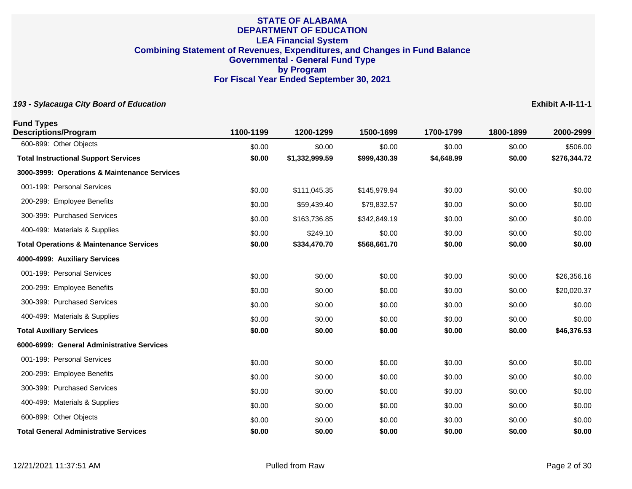| <b>Fund Types</b><br><b>Descriptions/Program</b>   | 1100-1199 | 1200-1299      | 1500-1699    | 1700-1799  | 1800-1899 | 2000-2999    |
|----------------------------------------------------|-----------|----------------|--------------|------------|-----------|--------------|
| 600-899: Other Objects                             | \$0.00    | \$0.00         | \$0.00       | \$0.00     | \$0.00    | \$506.00     |
| <b>Total Instructional Support Services</b>        | \$0.00    | \$1,332,999.59 | \$999,430.39 | \$4,648.99 | \$0.00    | \$276,344.72 |
| 3000-3999: Operations & Maintenance Services       |           |                |              |            |           |              |
| 001-199: Personal Services                         | \$0.00    | \$111,045.35   | \$145,979.94 | \$0.00     | \$0.00    | \$0.00       |
| 200-299: Employee Benefits                         | \$0.00    | \$59,439.40    | \$79,832.57  | \$0.00     | \$0.00    | \$0.00       |
| 300-399: Purchased Services                        | \$0.00    | \$163,736.85   | \$342,849.19 | \$0.00     | \$0.00    | \$0.00       |
| 400-499: Materials & Supplies                      | \$0.00    | \$249.10       | \$0.00       | \$0.00     | \$0.00    | \$0.00       |
| <b>Total Operations &amp; Maintenance Services</b> | \$0.00    | \$334,470.70   | \$568,661.70 | \$0.00     | \$0.00    | \$0.00       |
| 4000-4999: Auxiliary Services                      |           |                |              |            |           |              |
| 001-199: Personal Services                         | \$0.00    | \$0.00         | \$0.00       | \$0.00     | \$0.00    | \$26,356.16  |
| 200-299: Employee Benefits                         | \$0.00    | \$0.00         | \$0.00       | \$0.00     | \$0.00    | \$20,020.37  |
| 300-399: Purchased Services                        | \$0.00    | \$0.00         | \$0.00       | \$0.00     | \$0.00    | \$0.00       |
| 400-499: Materials & Supplies                      | \$0.00    | \$0.00         | \$0.00       | \$0.00     | \$0.00    | \$0.00       |
| <b>Total Auxiliary Services</b>                    | \$0.00    | \$0.00         | \$0.00       | \$0.00     | \$0.00    | \$46,376.53  |
| 6000-6999: General Administrative Services         |           |                |              |            |           |              |
| 001-199: Personal Services                         | \$0.00    | \$0.00         | \$0.00       | \$0.00     | \$0.00    | \$0.00       |
| 200-299: Employee Benefits                         | \$0.00    | \$0.00         | \$0.00       | \$0.00     | \$0.00    | \$0.00       |
| 300-399: Purchased Services                        | \$0.00    | \$0.00         | \$0.00       | \$0.00     | \$0.00    | \$0.00       |
| 400-499: Materials & Supplies                      | \$0.00    | \$0.00         | \$0.00       | \$0.00     | \$0.00    | \$0.00       |
| 600-899: Other Objects                             | \$0.00    | \$0.00         | \$0.00       | \$0.00     | \$0.00    | \$0.00       |
| <b>Total General Administrative Services</b>       | \$0.00    | \$0.00         | \$0.00       | \$0.00     | \$0.00    | \$0.00       |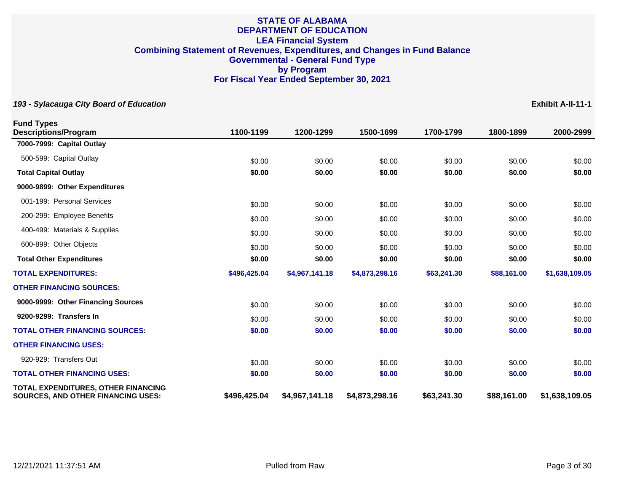| <b>Fund Types</b><br><b>Descriptions/Program</b>                                        | 1100-1199    | 1200-1299      | 1500-1699      | 1700-1799   | 1800-1899   | 2000-2999      |
|-----------------------------------------------------------------------------------------|--------------|----------------|----------------|-------------|-------------|----------------|
| 7000-7999: Capital Outlay                                                               |              |                |                |             |             |                |
| 500-599: Capital Outlay                                                                 | \$0.00       | \$0.00         | \$0.00         | \$0.00      | \$0.00      | \$0.00         |
| <b>Total Capital Outlay</b>                                                             | \$0.00       | \$0.00         | \$0.00         | \$0.00      | \$0.00      | \$0.00         |
| 9000-9899: Other Expenditures                                                           |              |                |                |             |             |                |
| 001-199: Personal Services                                                              | \$0.00       | \$0.00         | \$0.00         | \$0.00      | \$0.00      | \$0.00         |
| 200-299: Employee Benefits                                                              | \$0.00       | \$0.00         | \$0.00         | \$0.00      | \$0.00      | \$0.00         |
| 400-499: Materials & Supplies                                                           | \$0.00       | \$0.00         | \$0.00         | \$0.00      | \$0.00      | \$0.00         |
| 600-899: Other Objects                                                                  | \$0.00       | \$0.00         | \$0.00         | \$0.00      | \$0.00      | \$0.00         |
| <b>Total Other Expenditures</b>                                                         | \$0.00       | \$0.00         | \$0.00         | \$0.00      | \$0.00      | \$0.00         |
| <b>TOTAL EXPENDITURES:</b>                                                              | \$496,425.04 | \$4,967,141.18 | \$4,873,298.16 | \$63,241.30 | \$88,161.00 | \$1,638,109.05 |
| <b>OTHER FINANCING SOURCES:</b>                                                         |              |                |                |             |             |                |
| 9000-9999: Other Financing Sources                                                      | \$0.00       | \$0.00         | \$0.00         | \$0.00      | \$0.00      | \$0.00         |
| 9200-9299: Transfers In                                                                 | \$0.00       | \$0.00         | \$0.00         | \$0.00      | \$0.00      | \$0.00         |
| <b>TOTAL OTHER FINANCING SOURCES:</b>                                                   | \$0.00       | \$0.00         | \$0.00         | \$0.00      | \$0.00      | \$0.00         |
| <b>OTHER FINANCING USES:</b>                                                            |              |                |                |             |             |                |
| 920-929: Transfers Out                                                                  | \$0.00       | \$0.00         | \$0.00         | \$0.00      | \$0.00      | \$0.00         |
| <b>TOTAL OTHER FINANCING USES:</b>                                                      | \$0.00       | \$0.00         | \$0.00         | \$0.00      | \$0.00      | \$0.00         |
| <b>TOTAL EXPENDITURES, OTHER FINANCING</b><br><b>SOURCES, AND OTHER FINANCING USES:</b> | \$496,425.04 | \$4,967,141.18 | \$4,873,298.16 | \$63,241.30 | \$88,161.00 | \$1,638,109.05 |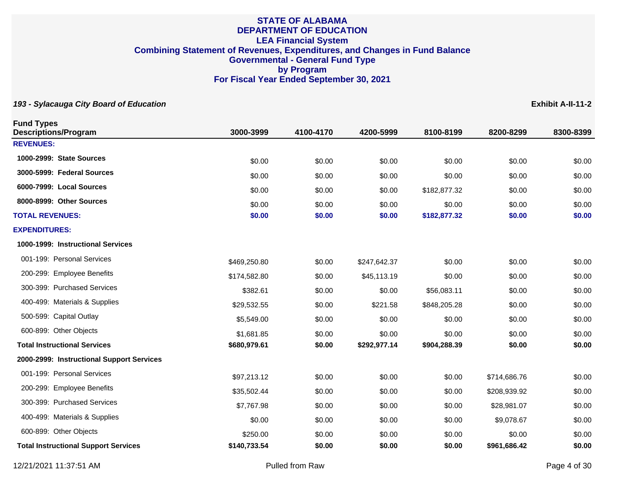| <b>Fund Types</b><br><b>Descriptions/Program</b> | 3000-3999    | 4100-4170 | 4200-5999    | 8100-8199    | 8200-8299    | 8300-8399 |
|--------------------------------------------------|--------------|-----------|--------------|--------------|--------------|-----------|
| <b>REVENUES:</b>                                 |              |           |              |              |              |           |
| 1000-2999: State Sources                         | \$0.00       | \$0.00    | \$0.00       | \$0.00       | \$0.00       | \$0.00    |
| 3000-5999: Federal Sources                       | \$0.00       | \$0.00    | \$0.00       | \$0.00       | \$0.00       | \$0.00    |
| 6000-7999: Local Sources                         | \$0.00       | \$0.00    | \$0.00       | \$182,877.32 | \$0.00       | \$0.00    |
| 8000-8999: Other Sources                         | \$0.00       | \$0.00    | \$0.00       | \$0.00       | \$0.00       | \$0.00    |
| <b>TOTAL REVENUES:</b>                           | \$0.00       | \$0.00    | \$0.00       | \$182,877.32 | \$0.00       | \$0.00    |
| <b>EXPENDITURES:</b>                             |              |           |              |              |              |           |
| 1000-1999: Instructional Services                |              |           |              |              |              |           |
| 001-199: Personal Services                       | \$469,250.80 | \$0.00    | \$247,642.37 | \$0.00       | \$0.00       | \$0.00    |
| 200-299: Employee Benefits                       | \$174,582.80 | \$0.00    | \$45,113.19  | \$0.00       | \$0.00       | \$0.00    |
| 300-399: Purchased Services                      | \$382.61     | \$0.00    | \$0.00       | \$56,083.11  | \$0.00       | \$0.00    |
| 400-499: Materials & Supplies                    | \$29,532.55  | \$0.00    | \$221.58     | \$848,205.28 | \$0.00       | \$0.00    |
| 500-599: Capital Outlay                          | \$5,549.00   | \$0.00    | \$0.00       | \$0.00       | \$0.00       | \$0.00    |
| 600-899: Other Objects                           | \$1,681.85   | \$0.00    | \$0.00       | \$0.00       | \$0.00       | \$0.00    |
| <b>Total Instructional Services</b>              | \$680,979.61 | \$0.00    | \$292,977.14 | \$904,288.39 | \$0.00       | \$0.00    |
| 2000-2999: Instructional Support Services        |              |           |              |              |              |           |
| 001-199: Personal Services                       | \$97,213.12  | \$0.00    | \$0.00       | \$0.00       | \$714,686.76 | \$0.00    |
| 200-299: Employee Benefits                       | \$35,502.44  | \$0.00    | \$0.00       | \$0.00       | \$208,939.92 | \$0.00    |
| 300-399: Purchased Services                      | \$7,767.98   | \$0.00    | \$0.00       | \$0.00       | \$28,981.07  | \$0.00    |
| 400-499: Materials & Supplies                    | \$0.00       | \$0.00    | \$0.00       | \$0.00       | \$9,078.67   | \$0.00    |
| 600-899: Other Objects                           | \$250.00     | \$0.00    | \$0.00       | \$0.00       | \$0.00       | \$0.00    |
| <b>Total Instructional Support Services</b>      | \$140,733.54 | \$0.00    | \$0.00       | \$0.00       | \$961,686.42 | \$0.00    |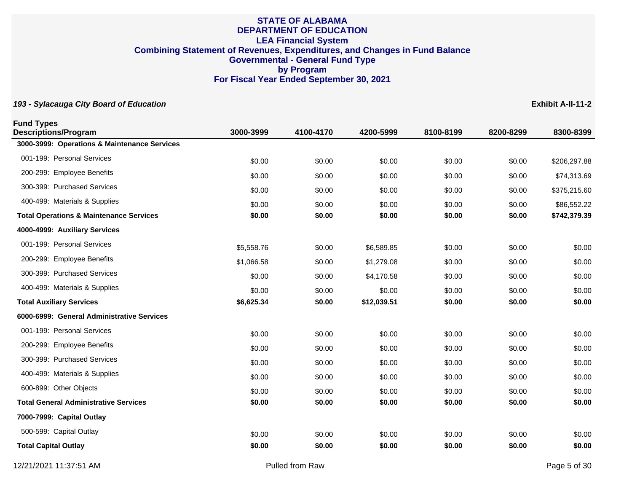## **193 - Sylacauga City Board of Education Exhibit A-II-11-2**

| <b>Fund Types</b><br><b>Descriptions/Program</b>   | 3000-3999  | 4100-4170 | 4200-5999   | 8100-8199 | 8200-8299 | 8300-8399    |
|----------------------------------------------------|------------|-----------|-------------|-----------|-----------|--------------|
| 3000-3999: Operations & Maintenance Services       |            |           |             |           |           |              |
| 001-199: Personal Services                         | \$0.00     | \$0.00    | \$0.00      | \$0.00    | \$0.00    | \$206,297.88 |
| 200-299: Employee Benefits                         | \$0.00     | \$0.00    | \$0.00      | \$0.00    | \$0.00    | \$74,313.69  |
| 300-399: Purchased Services                        | \$0.00     | \$0.00    | \$0.00      | \$0.00    | \$0.00    | \$375,215.60 |
| 400-499: Materials & Supplies                      | \$0.00     | \$0.00    | \$0.00      | \$0.00    | \$0.00    | \$86,552.22  |
| <b>Total Operations &amp; Maintenance Services</b> | \$0.00     | \$0.00    | \$0.00      | \$0.00    | \$0.00    | \$742,379.39 |
| 4000-4999: Auxiliary Services                      |            |           |             |           |           |              |
| 001-199: Personal Services                         | \$5,558.76 | \$0.00    | \$6,589.85  | \$0.00    | \$0.00    | \$0.00       |
| 200-299: Employee Benefits                         | \$1,066.58 | \$0.00    | \$1,279.08  | \$0.00    | \$0.00    | \$0.00       |
| 300-399: Purchased Services                        | \$0.00     | \$0.00    | \$4,170.58  | \$0.00    | \$0.00    | \$0.00       |
| 400-499: Materials & Supplies                      | \$0.00     | \$0.00    | \$0.00      | \$0.00    | \$0.00    | \$0.00       |
| <b>Total Auxiliary Services</b>                    | \$6,625.34 | \$0.00    | \$12,039.51 | \$0.00    | \$0.00    | \$0.00       |
| 6000-6999: General Administrative Services         |            |           |             |           |           |              |
| 001-199: Personal Services                         | \$0.00     | \$0.00    | \$0.00      | \$0.00    | \$0.00    | \$0.00       |
| 200-299: Employee Benefits                         | \$0.00     | \$0.00    | \$0.00      | \$0.00    | \$0.00    | \$0.00       |
| 300-399: Purchased Services                        | \$0.00     | \$0.00    | \$0.00      | \$0.00    | \$0.00    | \$0.00       |
| 400-499: Materials & Supplies                      | \$0.00     | \$0.00    | \$0.00      | \$0.00    | \$0.00    | \$0.00       |
| 600-899: Other Objects                             | \$0.00     | \$0.00    | \$0.00      | \$0.00    | \$0.00    | \$0.00       |
| <b>Total General Administrative Services</b>       | \$0.00     | \$0.00    | \$0.00      | \$0.00    | \$0.00    | \$0.00       |
| 7000-7999: Capital Outlay                          |            |           |             |           |           |              |
| 500-599: Capital Outlay                            | \$0.00     | \$0.00    | \$0.00      | \$0.00    | \$0.00    | \$0.00       |
| <b>Total Capital Outlay</b>                        | \$0.00     | \$0.00    | \$0.00      | \$0.00    | \$0.00    | \$0.00       |

12/21/2021 11:37:51 AM Pulled from Raw Page 5 of 30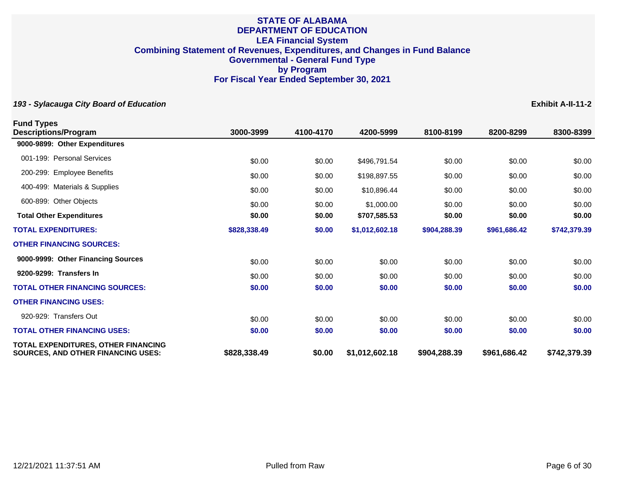| <b>Fund Types</b>                                                                |              |           |                |              |              |              |
|----------------------------------------------------------------------------------|--------------|-----------|----------------|--------------|--------------|--------------|
| <b>Descriptions/Program</b>                                                      | 3000-3999    | 4100-4170 | 4200-5999      | 8100-8199    | 8200-8299    | 8300-8399    |
| 9000-9899: Other Expenditures                                                    |              |           |                |              |              |              |
| 001-199: Personal Services                                                       | \$0.00       | \$0.00    | \$496,791.54   | \$0.00       | \$0.00       | \$0.00       |
| 200-299: Employee Benefits                                                       | \$0.00       | \$0.00    | \$198,897.55   | \$0.00       | \$0.00       | \$0.00       |
| 400-499: Materials & Supplies                                                    | \$0.00       | \$0.00    | \$10,896.44    | \$0.00       | \$0.00       | \$0.00       |
| 600-899: Other Objects                                                           | \$0.00       | \$0.00    | \$1,000.00     | \$0.00       | \$0.00       | \$0.00       |
| <b>Total Other Expenditures</b>                                                  | \$0.00       | \$0.00    | \$707,585.53   | \$0.00       | \$0.00       | \$0.00       |
| <b>TOTAL EXPENDITURES:</b>                                                       | \$828,338.49 | \$0.00    | \$1,012,602.18 | \$904,288.39 | \$961,686.42 | \$742,379.39 |
| <b>OTHER FINANCING SOURCES:</b>                                                  |              |           |                |              |              |              |
| 9000-9999: Other Financing Sources                                               | \$0.00       | \$0.00    | \$0.00         | \$0.00       | \$0.00       | \$0.00       |
| 9200-9299: Transfers In                                                          | \$0.00       | \$0.00    | \$0.00         | \$0.00       | \$0.00       | \$0.00       |
| <b>TOTAL OTHER FINANCING SOURCES:</b>                                            | \$0.00       | \$0.00    | \$0.00         | \$0.00       | \$0.00       | \$0.00       |
| <b>OTHER FINANCING USES:</b>                                                     |              |           |                |              |              |              |
| 920-929: Transfers Out                                                           | \$0.00       | \$0.00    | \$0.00         | \$0.00       | \$0.00       | \$0.00       |
| <b>TOTAL OTHER FINANCING USES:</b>                                               | \$0.00       | \$0.00    | \$0.00         | \$0.00       | \$0.00       | \$0.00       |
| TOTAL EXPENDITURES, OTHER FINANCING<br><b>SOURCES, AND OTHER FINANCING USES:</b> | \$828,338.49 | \$0.00    | \$1,012,602.18 | \$904,288.39 | \$961,686.42 | \$742,379.39 |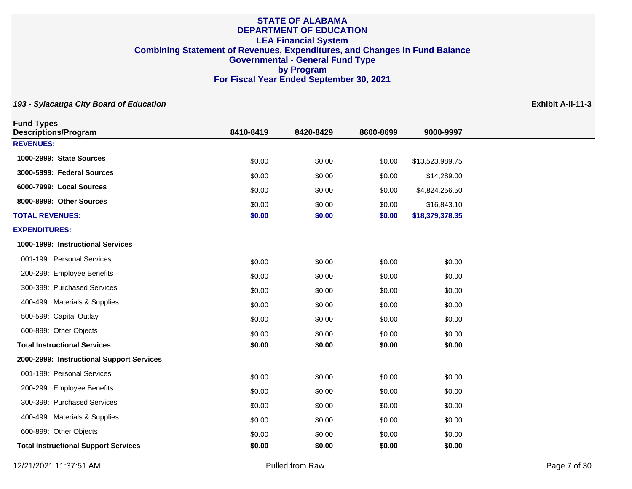| <b>Fund Types</b><br><b>Descriptions/Program</b> | 8410-8419        | 8420-8429        | 8600-8699        | 9000-9997        |  |
|--------------------------------------------------|------------------|------------------|------------------|------------------|--|
| <b>REVENUES:</b>                                 |                  |                  |                  |                  |  |
| 1000-2999: State Sources                         | \$0.00           | \$0.00           | \$0.00           | \$13,523,989.75  |  |
| 3000-5999: Federal Sources                       | \$0.00           | \$0.00           | \$0.00           | \$14,289.00      |  |
| 6000-7999: Local Sources                         | \$0.00           | \$0.00           | \$0.00           | \$4,824,256.50   |  |
| 8000-8999: Other Sources                         | \$0.00           | \$0.00           | \$0.00           | \$16,843.10      |  |
| <b>TOTAL REVENUES:</b>                           | \$0.00           | \$0.00           | \$0.00           | \$18,379,378.35  |  |
| <b>EXPENDITURES:</b>                             |                  |                  |                  |                  |  |
| 1000-1999: Instructional Services                |                  |                  |                  |                  |  |
| 001-199: Personal Services                       | \$0.00           | \$0.00           | \$0.00           | \$0.00           |  |
| 200-299: Employee Benefits                       | \$0.00           | \$0.00           | \$0.00           | \$0.00           |  |
| 300-399: Purchased Services                      | \$0.00           | \$0.00           | \$0.00           | \$0.00           |  |
| 400-499: Materials & Supplies                    | \$0.00           | \$0.00           | \$0.00           | \$0.00           |  |
| 500-599: Capital Outlay                          |                  |                  |                  |                  |  |
| 600-899: Other Objects                           | \$0.00           | \$0.00           | \$0.00           | \$0.00           |  |
| <b>Total Instructional Services</b>              | \$0.00<br>\$0.00 | \$0.00<br>\$0.00 | \$0.00<br>\$0.00 | \$0.00<br>\$0.00 |  |
| 2000-2999: Instructional Support Services        |                  |                  |                  |                  |  |
| 001-199: Personal Services                       | \$0.00           | \$0.00           |                  | \$0.00           |  |
| 200-299: Employee Benefits                       |                  |                  | \$0.00           |                  |  |
| 300-399: Purchased Services                      | \$0.00           | \$0.00           | \$0.00           | \$0.00           |  |
| 400-499: Materials & Supplies                    | \$0.00           | \$0.00           | \$0.00           | \$0.00           |  |
| 600-899: Other Objects                           | \$0.00           | \$0.00           | \$0.00           | \$0.00           |  |
|                                                  | \$0.00           | \$0.00           | \$0.00           | \$0.00           |  |
| <b>Total Instructional Support Services</b>      | \$0.00           | \$0.00           | \$0.00           | \$0.00           |  |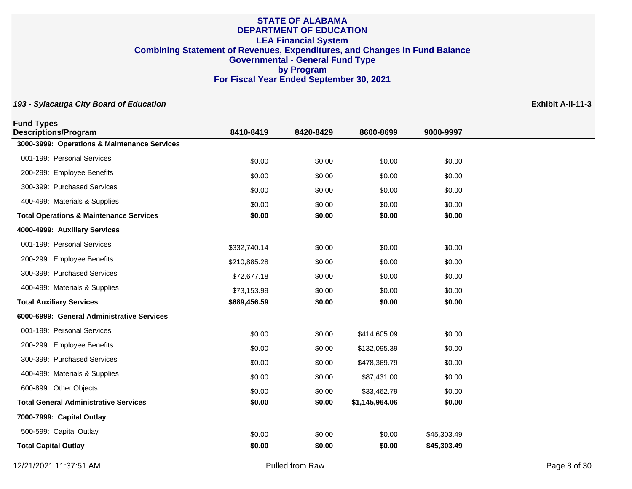| <b>Fund Types</b><br><b>Descriptions/Program</b>   | 8410-8419    | 8420-8429 | 8600-8699      | 9000-9997   |
|----------------------------------------------------|--------------|-----------|----------------|-------------|
| 3000-3999: Operations & Maintenance Services       |              |           |                |             |
| 001-199: Personal Services                         | \$0.00       | \$0.00    | \$0.00         | \$0.00      |
| 200-299: Employee Benefits                         | \$0.00       | \$0.00    | \$0.00         | \$0.00      |
| 300-399: Purchased Services                        | \$0.00       | \$0.00    | \$0.00         | \$0.00      |
| 400-499: Materials & Supplies                      | \$0.00       | \$0.00    | \$0.00         | \$0.00      |
| <b>Total Operations &amp; Maintenance Services</b> | \$0.00       | \$0.00    | \$0.00         | \$0.00      |
| 4000-4999: Auxiliary Services                      |              |           |                |             |
| 001-199: Personal Services                         | \$332,740.14 | \$0.00    | \$0.00         | \$0.00      |
| 200-299: Employee Benefits                         | \$210,885.28 | \$0.00    | \$0.00         | \$0.00      |
| 300-399: Purchased Services                        | \$72,677.18  | \$0.00    | \$0.00         | \$0.00      |
| 400-499: Materials & Supplies                      | \$73,153.99  | \$0.00    | \$0.00         | \$0.00      |
| <b>Total Auxiliary Services</b>                    | \$689,456.59 | \$0.00    | \$0.00         | \$0.00      |
| 6000-6999: General Administrative Services         |              |           |                |             |
| 001-199: Personal Services                         | \$0.00       | \$0.00    | \$414,605.09   | \$0.00      |
| 200-299: Employee Benefits                         | \$0.00       | \$0.00    | \$132,095.39   | \$0.00      |
| 300-399: Purchased Services                        | \$0.00       | \$0.00    | \$478,369.79   | \$0.00      |
| 400-499: Materials & Supplies                      | \$0.00       | \$0.00    | \$87,431.00    | \$0.00      |
| 600-899: Other Objects                             | \$0.00       | \$0.00    | \$33,462.79    | \$0.00      |
| <b>Total General Administrative Services</b>       | \$0.00       | \$0.00    | \$1,145,964.06 | \$0.00      |
| 7000-7999: Capital Outlay                          |              |           |                |             |
| 500-599: Capital Outlay                            | \$0.00       | \$0.00    | \$0.00         | \$45,303.49 |
| <b>Total Capital Outlay</b>                        | \$0.00       | \$0.00    | \$0.00         | \$45,303.49 |
|                                                    |              |           |                |             |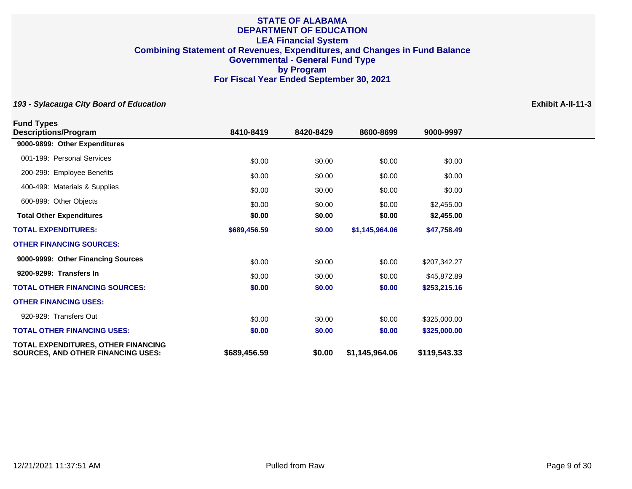| <b>Fund Types</b>                                                                       |              |           |                |              |
|-----------------------------------------------------------------------------------------|--------------|-----------|----------------|--------------|
| <b>Descriptions/Program</b>                                                             | 8410-8419    | 8420-8429 | 8600-8699      | 9000-9997    |
| 9000-9899: Other Expenditures                                                           |              |           |                |              |
| 001-199: Personal Services                                                              | \$0.00       | \$0.00    | \$0.00         | \$0.00       |
| 200-299: Employee Benefits                                                              | \$0.00       | \$0.00    | \$0.00         | \$0.00       |
| 400-499: Materials & Supplies                                                           | \$0.00       | \$0.00    | \$0.00         | \$0.00       |
| 600-899: Other Objects                                                                  | \$0.00       | \$0.00    | \$0.00         | \$2,455.00   |
| <b>Total Other Expenditures</b>                                                         | \$0.00       | \$0.00    | \$0.00         | \$2,455.00   |
| <b>TOTAL EXPENDITURES:</b>                                                              | \$689,456.59 | \$0.00    | \$1,145,964.06 | \$47,758.49  |
| <b>OTHER FINANCING SOURCES:</b>                                                         |              |           |                |              |
| 9000-9999: Other Financing Sources                                                      | \$0.00       | \$0.00    | \$0.00         | \$207,342.27 |
| 9200-9299: Transfers In                                                                 | \$0.00       | \$0.00    | \$0.00         | \$45,872.89  |
| <b>TOTAL OTHER FINANCING SOURCES:</b>                                                   | \$0.00       | \$0.00    | \$0.00         | \$253,215.16 |
| <b>OTHER FINANCING USES:</b>                                                            |              |           |                |              |
| 920-929: Transfers Out                                                                  | \$0.00       | \$0.00    | \$0.00         | \$325,000.00 |
| <b>TOTAL OTHER FINANCING USES:</b>                                                      | \$0.00       | \$0.00    | \$0.00         | \$325,000.00 |
| <b>TOTAL EXPENDITURES, OTHER FINANCING</b><br><b>SOURCES, AND OTHER FINANCING USES:</b> | \$689,456.59 | \$0.00    | \$1,145,964.06 | \$119,543.33 |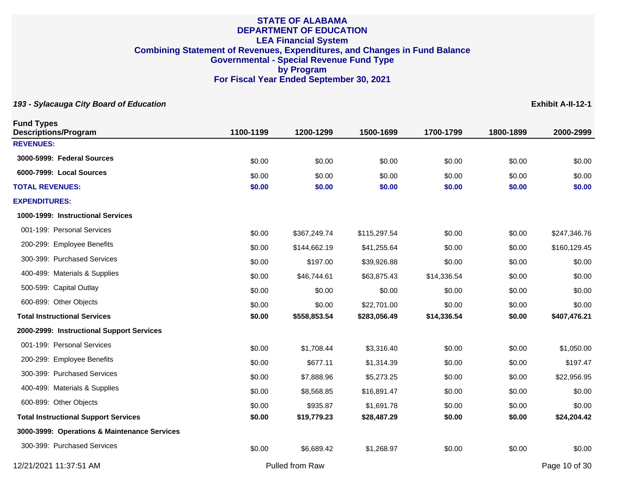| <b>Fund Types</b><br><b>Descriptions/Program</b> | 1100-1199 | 1200-1299       | 1500-1699    | 1700-1799   | 1800-1899 | 2000-2999     |
|--------------------------------------------------|-----------|-----------------|--------------|-------------|-----------|---------------|
| <b>REVENUES:</b>                                 |           |                 |              |             |           |               |
| 3000-5999: Federal Sources                       | \$0.00    | \$0.00          | \$0.00       | \$0.00      | \$0.00    | \$0.00        |
| 6000-7999: Local Sources                         | \$0.00    | \$0.00          | \$0.00       | \$0.00      | \$0.00    | \$0.00        |
| <b>TOTAL REVENUES:</b>                           | \$0.00    | \$0.00          | \$0.00       | \$0.00      | \$0.00    | \$0.00        |
| <b>EXPENDITURES:</b>                             |           |                 |              |             |           |               |
| 1000-1999: Instructional Services                |           |                 |              |             |           |               |
| 001-199: Personal Services                       | \$0.00    | \$367,249.74    | \$115,297.54 | \$0.00      | \$0.00    | \$247,346.76  |
| 200-299: Employee Benefits                       | \$0.00    | \$144,662.19    | \$41,255.64  | \$0.00      | \$0.00    | \$160,129.45  |
| 300-399: Purchased Services                      | \$0.00    | \$197.00        | \$39,926.88  | \$0.00      | \$0.00    | \$0.00        |
| 400-499: Materials & Supplies                    | \$0.00    | \$46,744.61     | \$63,875.43  | \$14,336.54 | \$0.00    | \$0.00        |
| 500-599: Capital Outlay                          | \$0.00    | \$0.00          | \$0.00       | \$0.00      | \$0.00    | \$0.00        |
| 600-899: Other Objects                           | \$0.00    | \$0.00          | \$22,701.00  | \$0.00      | \$0.00    | \$0.00        |
| <b>Total Instructional Services</b>              | \$0.00    | \$558,853.54    | \$283,056.49 | \$14,336.54 | \$0.00    | \$407,476.21  |
| 2000-2999: Instructional Support Services        |           |                 |              |             |           |               |
| 001-199: Personal Services                       | \$0.00    | \$1,708.44      | \$3,316.40   | \$0.00      | \$0.00    | \$1,050.00    |
| 200-299: Employee Benefits                       | \$0.00    | \$677.11        | \$1,314.39   | \$0.00      | \$0.00    | \$197.47      |
| 300-399: Purchased Services                      | \$0.00    | \$7,888.96      | \$5,273.25   | \$0.00      | \$0.00    | \$22,956.95   |
| 400-499: Materials & Supplies                    | \$0.00    | \$8,568.85      | \$16,891.47  | \$0.00      | \$0.00    | \$0.00        |
| 600-899: Other Objects                           | \$0.00    | \$935.87        | \$1,691.78   | \$0.00      | \$0.00    | \$0.00        |
| <b>Total Instructional Support Services</b>      | \$0.00    | \$19,779.23     | \$28,487.29  | \$0.00      | \$0.00    | \$24,204.42   |
| 3000-3999: Operations & Maintenance Services     |           |                 |              |             |           |               |
| 300-399: Purchased Services                      | \$0.00    | \$6,689.42      | \$1,268.97   | \$0.00      | \$0.00    | \$0.00        |
| 12/21/2021 11:37:51 AM                           |           | Pulled from Raw |              |             |           | Page 10 of 30 |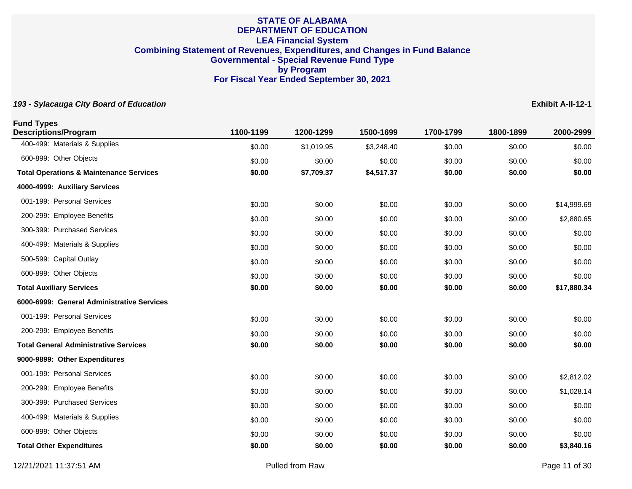| <b>Fund Types</b><br><b>Descriptions/Program</b>   | 1100-1199 | 1200-1299  | 1500-1699  | 1700-1799 | 1800-1899 | 2000-2999   |
|----------------------------------------------------|-----------|------------|------------|-----------|-----------|-------------|
| 400-499: Materials & Supplies                      | \$0.00    | \$1,019.95 | \$3,248.40 | \$0.00    | \$0.00    | \$0.00      |
| 600-899: Other Objects                             | \$0.00    | \$0.00     | \$0.00     | \$0.00    | \$0.00    | \$0.00      |
| <b>Total Operations &amp; Maintenance Services</b> | \$0.00    | \$7,709.37 | \$4,517.37 | \$0.00    | \$0.00    | \$0.00      |
| 4000-4999: Auxiliary Services                      |           |            |            |           |           |             |
| 001-199: Personal Services                         | \$0.00    | \$0.00     | \$0.00     | \$0.00    | \$0.00    | \$14,999.69 |
| 200-299: Employee Benefits                         | \$0.00    | \$0.00     | \$0.00     | \$0.00    | \$0.00    | \$2,880.65  |
| 300-399: Purchased Services                        | \$0.00    | \$0.00     | \$0.00     | \$0.00    | \$0.00    | \$0.00      |
| 400-499: Materials & Supplies                      | \$0.00    | \$0.00     | \$0.00     | \$0.00    | \$0.00    | \$0.00      |
| 500-599: Capital Outlay                            | \$0.00    | \$0.00     | \$0.00     | \$0.00    | \$0.00    | \$0.00      |
| 600-899: Other Objects                             | \$0.00    | \$0.00     | \$0.00     | \$0.00    | \$0.00    | \$0.00      |
| <b>Total Auxiliary Services</b>                    | \$0.00    | \$0.00     | \$0.00     | \$0.00    | \$0.00    | \$17,880.34 |
| 6000-6999: General Administrative Services         |           |            |            |           |           |             |
| 001-199: Personal Services                         | \$0.00    | \$0.00     | \$0.00     | \$0.00    | \$0.00    | \$0.00      |
| 200-299: Employee Benefits                         | \$0.00    | \$0.00     | \$0.00     | \$0.00    | \$0.00    | \$0.00      |
| <b>Total General Administrative Services</b>       | \$0.00    | \$0.00     | \$0.00     | \$0.00    | \$0.00    | \$0.00      |
| 9000-9899: Other Expenditures                      |           |            |            |           |           |             |
| 001-199: Personal Services                         | \$0.00    | \$0.00     | \$0.00     | \$0.00    | \$0.00    | \$2,812.02  |
| 200-299: Employee Benefits                         | \$0.00    | \$0.00     | \$0.00     | \$0.00    | \$0.00    | \$1,028.14  |
| 300-399: Purchased Services                        | \$0.00    | \$0.00     | \$0.00     | \$0.00    | \$0.00    | \$0.00      |
| 400-499: Materials & Supplies                      | \$0.00    | \$0.00     | \$0.00     | \$0.00    | \$0.00    | \$0.00      |
| 600-899: Other Objects                             | \$0.00    | \$0.00     | \$0.00     | \$0.00    | \$0.00    | \$0.00      |
| <b>Total Other Expenditures</b>                    | \$0.00    | \$0.00     | \$0.00     | \$0.00    | \$0.00    | \$3,840.16  |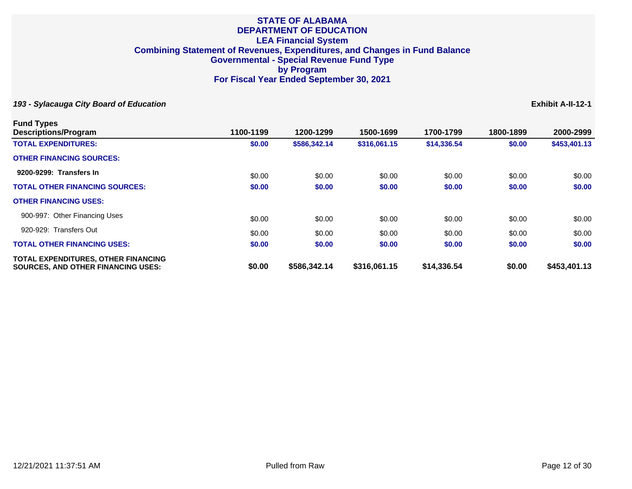| <b>Fund Types</b>                                                                       |           |              |              |             |           |              |
|-----------------------------------------------------------------------------------------|-----------|--------------|--------------|-------------|-----------|--------------|
| Descriptions/Program                                                                    | 1100-1199 | 1200-1299    | 1500-1699    | 1700-1799   | 1800-1899 | 2000-2999    |
| <b>TOTAL EXPENDITURES:</b>                                                              | \$0.00    | \$586,342.14 | \$316,061.15 | \$14,336.54 | \$0.00    | \$453,401.13 |
| <b>OTHER FINANCING SOURCES:</b>                                                         |           |              |              |             |           |              |
| 9200-9299: Transfers In                                                                 | \$0.00    | \$0.00       | \$0.00       | \$0.00      | \$0.00    | \$0.00       |
| <b>TOTAL OTHER FINANCING SOURCES:</b>                                                   | \$0.00    | \$0.00       | \$0.00       | \$0.00      | \$0.00    | \$0.00       |
| <b>OTHER FINANCING USES:</b>                                                            |           |              |              |             |           |              |
| 900-997: Other Financing Uses                                                           | \$0.00    | \$0.00       | \$0.00       | \$0.00      | \$0.00    | \$0.00       |
| 920-929: Transfers Out                                                                  | \$0.00    | \$0.00       | \$0.00       | \$0.00      | \$0.00    | \$0.00       |
| <b>TOTAL OTHER FINANCING USES:</b>                                                      | \$0.00    | \$0.00       | \$0.00       | \$0.00      | \$0.00    | \$0.00       |
| <b>TOTAL EXPENDITURES, OTHER FINANCING</b><br><b>SOURCES, AND OTHER FINANCING USES:</b> | \$0.00    | \$586,342.14 | \$316,061.15 | \$14,336.54 | \$0.00    | \$453,401.13 |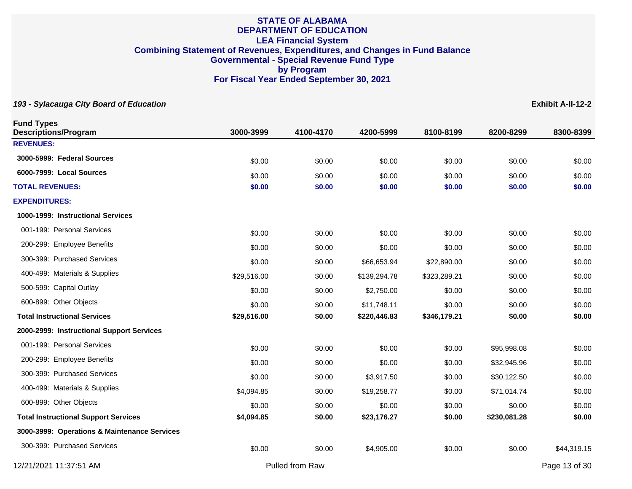| <b>Fund Types</b><br><b>Descriptions/Program</b> | 3000-3999   | 4100-4170       | 4200-5999    | 8100-8199    | 8200-8299    | 8300-8399     |
|--------------------------------------------------|-------------|-----------------|--------------|--------------|--------------|---------------|
| <b>REVENUES:</b>                                 |             |                 |              |              |              |               |
| 3000-5999: Federal Sources                       | \$0.00      | \$0.00          | \$0.00       | \$0.00       | \$0.00       | \$0.00        |
| 6000-7999: Local Sources                         | \$0.00      | \$0.00          | \$0.00       | \$0.00       | \$0.00       | \$0.00        |
| <b>TOTAL REVENUES:</b>                           | \$0.00      | \$0.00          | \$0.00       | \$0.00       | \$0.00       | \$0.00        |
| <b>EXPENDITURES:</b>                             |             |                 |              |              |              |               |
| 1000-1999: Instructional Services                |             |                 |              |              |              |               |
| 001-199: Personal Services                       | \$0.00      | \$0.00          | \$0.00       | \$0.00       | \$0.00       | \$0.00        |
| 200-299: Employee Benefits                       | \$0.00      | \$0.00          | \$0.00       | \$0.00       | \$0.00       | \$0.00        |
| 300-399: Purchased Services                      | \$0.00      | \$0.00          | \$66,653.94  | \$22,890.00  | \$0.00       | \$0.00        |
| 400-499: Materials & Supplies                    | \$29,516.00 | \$0.00          | \$139,294.78 | \$323,289.21 | \$0.00       | \$0.00        |
| 500-599: Capital Outlay                          | \$0.00      | \$0.00          | \$2,750.00   | \$0.00       | \$0.00       | \$0.00        |
| 600-899: Other Objects                           | \$0.00      | \$0.00          | \$11,748.11  | \$0.00       | \$0.00       | \$0.00        |
| <b>Total Instructional Services</b>              | \$29,516.00 | \$0.00          | \$220,446.83 | \$346,179.21 | \$0.00       | \$0.00        |
| 2000-2999: Instructional Support Services        |             |                 |              |              |              |               |
| 001-199: Personal Services                       | \$0.00      | \$0.00          | \$0.00       | \$0.00       | \$95,998.08  | \$0.00        |
| 200-299: Employee Benefits                       | \$0.00      | \$0.00          | \$0.00       | \$0.00       | \$32,945.96  | \$0.00        |
| 300-399: Purchased Services                      | \$0.00      | \$0.00          | \$3,917.50   | \$0.00       | \$30,122.50  | \$0.00        |
| 400-499: Materials & Supplies                    | \$4,094.85  | \$0.00          | \$19,258.77  | \$0.00       | \$71,014.74  | \$0.00        |
| 600-899: Other Objects                           | \$0.00      | \$0.00          | \$0.00       | \$0.00       | \$0.00       | \$0.00        |
| <b>Total Instructional Support Services</b>      | \$4,094.85  | \$0.00          | \$23,176.27  | \$0.00       | \$230,081.28 | \$0.00        |
| 3000-3999: Operations & Maintenance Services     |             |                 |              |              |              |               |
| 300-399: Purchased Services                      | \$0.00      | \$0.00          | \$4,905.00   | \$0.00       | \$0.00       | \$44,319.15   |
| 12/21/2021 11:37:51 AM                           |             | Pulled from Raw |              |              |              | Page 13 of 30 |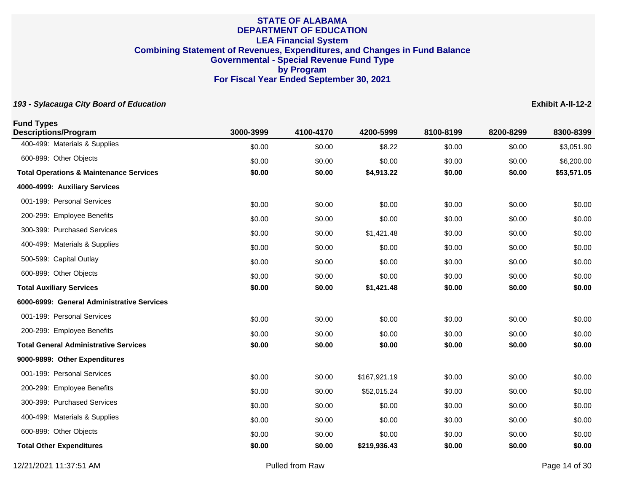| <b>Fund Types</b><br><b>Descriptions/Program</b>   | 3000-3999 | 4100-4170 | 4200-5999    | 8100-8199 | 8200-8299 | 8300-8399   |
|----------------------------------------------------|-----------|-----------|--------------|-----------|-----------|-------------|
| 400-499: Materials & Supplies                      | \$0.00    | \$0.00    | \$8.22       | \$0.00    | \$0.00    | \$3,051.90  |
| 600-899: Other Objects                             | \$0.00    | \$0.00    | \$0.00       | \$0.00    | \$0.00    | \$6,200.00  |
| <b>Total Operations &amp; Maintenance Services</b> | \$0.00    | \$0.00    | \$4,913.22   | \$0.00    | \$0.00    | \$53,571.05 |
| 4000-4999: Auxiliary Services                      |           |           |              |           |           |             |
| 001-199: Personal Services                         | \$0.00    | \$0.00    | \$0.00       | \$0.00    | \$0.00    | \$0.00      |
| 200-299: Employee Benefits                         | \$0.00    | \$0.00    | \$0.00       | \$0.00    | \$0.00    | \$0.00      |
| 300-399: Purchased Services                        | \$0.00    | \$0.00    | \$1,421.48   | \$0.00    | \$0.00    | \$0.00      |
| 400-499: Materials & Supplies                      | \$0.00    | \$0.00    | \$0.00       | \$0.00    | \$0.00    | \$0.00      |
| 500-599: Capital Outlay                            | \$0.00    | \$0.00    | \$0.00       | \$0.00    | \$0.00    | \$0.00      |
| 600-899: Other Objects                             | \$0.00    | \$0.00    | \$0.00       | \$0.00    | \$0.00    | \$0.00      |
| <b>Total Auxiliary Services</b>                    | \$0.00    | \$0.00    | \$1,421.48   | \$0.00    | \$0.00    | \$0.00      |
| 6000-6999: General Administrative Services         |           |           |              |           |           |             |
| 001-199: Personal Services                         | \$0.00    | \$0.00    | \$0.00       | \$0.00    | \$0.00    | \$0.00      |
| 200-299: Employee Benefits                         | \$0.00    | \$0.00    | \$0.00       | \$0.00    | \$0.00    | \$0.00      |
| <b>Total General Administrative Services</b>       | \$0.00    | \$0.00    | \$0.00       | \$0.00    | \$0.00    | \$0.00      |
| 9000-9899: Other Expenditures                      |           |           |              |           |           |             |
| 001-199: Personal Services                         | \$0.00    | \$0.00    | \$167,921.19 | \$0.00    | \$0.00    | \$0.00      |
| 200-299: Employee Benefits                         | \$0.00    | \$0.00    | \$52,015.24  | \$0.00    | \$0.00    | \$0.00      |
| 300-399: Purchased Services                        | \$0.00    | \$0.00    | \$0.00       | \$0.00    | \$0.00    | \$0.00      |
| 400-499: Materials & Supplies                      | \$0.00    | \$0.00    | \$0.00       | \$0.00    | \$0.00    | \$0.00      |
| 600-899: Other Objects                             | \$0.00    | \$0.00    | \$0.00       | \$0.00    | \$0.00    | \$0.00      |
| <b>Total Other Expenditures</b>                    | \$0.00    | \$0.00    | \$219,936.43 | \$0.00    | \$0.00    | \$0.00      |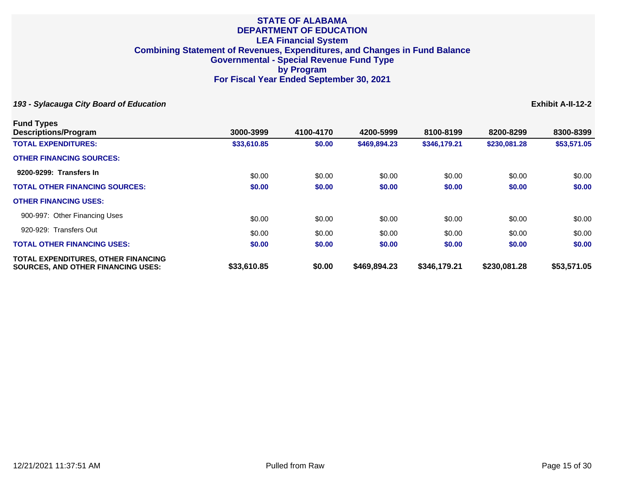**193 - Sylacauga City Board of Education Exhibit A-II-12-2**

**Fund Types**

| <b>FUND TYPES</b><br><b>Descriptions/Program</b>                                 | 3000-3999   | 4100-4170 | 4200-5999    | 8100-8199    | 8200-8299    | 8300-8399   |
|----------------------------------------------------------------------------------|-------------|-----------|--------------|--------------|--------------|-------------|
| <b>TOTAL EXPENDITURES:</b>                                                       | \$33,610.85 | \$0.00    | \$469,894.23 | \$346,179.21 | \$230,081.28 | \$53,571.05 |
| <b>OTHER FINANCING SOURCES:</b>                                                  |             |           |              |              |              |             |
| 9200-9299: Transfers In                                                          | \$0.00      | \$0.00    | \$0.00       | \$0.00       | \$0.00       | \$0.00      |
| <b>TOTAL OTHER FINANCING SOURCES:</b>                                            | \$0.00      | \$0.00    | \$0.00       | \$0.00       | \$0.00       | \$0.00      |
| <b>OTHER FINANCING USES:</b>                                                     |             |           |              |              |              |             |
| 900-997: Other Financing Uses                                                    | \$0.00      | \$0.00    | \$0.00       | \$0.00       | \$0.00       | \$0.00      |
| 920-929: Transfers Out                                                           | \$0.00      | \$0.00    | \$0.00       | \$0.00       | \$0.00       | \$0.00      |
| <b>TOTAL OTHER FINANCING USES:</b>                                               | \$0.00      | \$0.00    | \$0.00       | \$0.00       | \$0.00       | \$0.00      |
| TOTAL EXPENDITURES, OTHER FINANCING<br><b>SOURCES, AND OTHER FINANCING USES:</b> | \$33,610.85 | \$0.00    | \$469,894.23 | \$346,179.21 | \$230,081.28 | \$53,571.05 |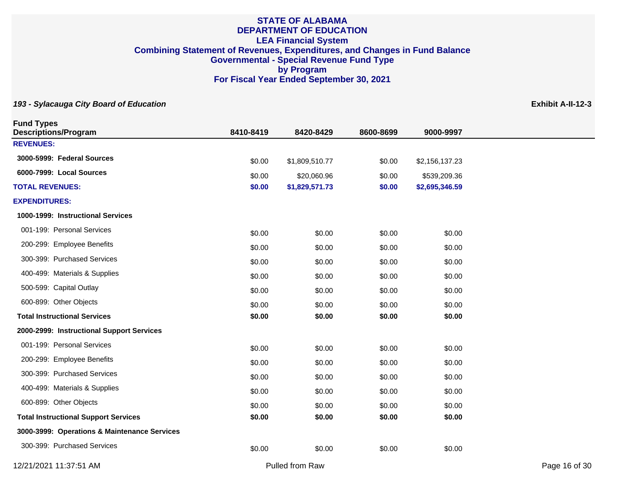| <b>Fund Types</b><br><b>Descriptions/Program</b> | 8410-8419 | 8420-8429       | 8600-8699 | 9000-9997      |               |
|--------------------------------------------------|-----------|-----------------|-----------|----------------|---------------|
| <b>REVENUES:</b>                                 |           |                 |           |                |               |
| 3000-5999: Federal Sources                       | \$0.00    | \$1,809,510.77  | \$0.00    | \$2,156,137.23 |               |
| 6000-7999: Local Sources                         | \$0.00    | \$20,060.96     | \$0.00    | \$539,209.36   |               |
| <b>TOTAL REVENUES:</b>                           | \$0.00    | \$1,829,571.73  | \$0.00    | \$2,695,346.59 |               |
| <b>EXPENDITURES:</b>                             |           |                 |           |                |               |
| 1000-1999: Instructional Services                |           |                 |           |                |               |
| 001-199: Personal Services                       | \$0.00    | \$0.00          | \$0.00    | \$0.00         |               |
| 200-299: Employee Benefits                       | \$0.00    | \$0.00          | \$0.00    | \$0.00         |               |
| 300-399: Purchased Services                      | \$0.00    | \$0.00          | \$0.00    | \$0.00         |               |
| 400-499: Materials & Supplies                    | \$0.00    | \$0.00          | \$0.00    | \$0.00         |               |
| 500-599: Capital Outlay                          | \$0.00    | \$0.00          | \$0.00    | \$0.00         |               |
| 600-899: Other Objects                           | \$0.00    | \$0.00          | \$0.00    | \$0.00         |               |
| <b>Total Instructional Services</b>              | \$0.00    | \$0.00          | \$0.00    | \$0.00         |               |
| 2000-2999: Instructional Support Services        |           |                 |           |                |               |
| 001-199: Personal Services                       | \$0.00    | \$0.00          | \$0.00    | \$0.00         |               |
| 200-299: Employee Benefits                       | \$0.00    | \$0.00          | \$0.00    | \$0.00         |               |
| 300-399: Purchased Services                      | \$0.00    | \$0.00          | \$0.00    | \$0.00         |               |
| 400-499: Materials & Supplies                    | \$0.00    | \$0.00          | \$0.00    | \$0.00         |               |
| 600-899: Other Objects                           | \$0.00    | \$0.00          | \$0.00    | \$0.00         |               |
| <b>Total Instructional Support Services</b>      | \$0.00    | \$0.00          | \$0.00    | \$0.00         |               |
| 3000-3999: Operations & Maintenance Services     |           |                 |           |                |               |
| 300-399: Purchased Services                      | \$0.00    | \$0.00          | \$0.00    | \$0.00         |               |
| 12/21/2021 11:37:51 AM                           |           | Pulled from Raw |           |                | Page 16 of 30 |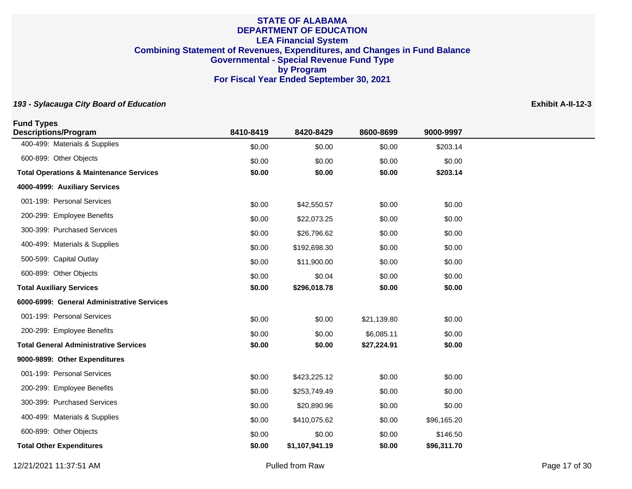| <b>Fund Types</b><br><b>Descriptions/Program</b>   | 8410-8419 | 8420-8429      | 8600-8699   | 9000-9997   |
|----------------------------------------------------|-----------|----------------|-------------|-------------|
| 400-499: Materials & Supplies                      | \$0.00    | \$0.00         | \$0.00      | \$203.14    |
| 600-899: Other Objects                             | \$0.00    | \$0.00         | \$0.00      | \$0.00      |
| <b>Total Operations &amp; Maintenance Services</b> | \$0.00    | \$0.00         | \$0.00      | \$203.14    |
| 4000-4999: Auxiliary Services                      |           |                |             |             |
| 001-199: Personal Services                         | \$0.00    | \$42,550.57    | \$0.00      | \$0.00      |
| 200-299: Employee Benefits                         | \$0.00    | \$22,073.25    | \$0.00      | \$0.00      |
| 300-399: Purchased Services                        | \$0.00    | \$26,796.62    | \$0.00      | \$0.00      |
| 400-499: Materials & Supplies                      | \$0.00    | \$192,698.30   | \$0.00      | \$0.00      |
| 500-599: Capital Outlay                            | \$0.00    | \$11,900.00    | \$0.00      | \$0.00      |
| 600-899: Other Objects                             | \$0.00    | \$0.04         | \$0.00      | \$0.00      |
| <b>Total Auxiliary Services</b>                    | \$0.00    | \$296,018.78   | \$0.00      | \$0.00      |
| 6000-6999: General Administrative Services         |           |                |             |             |
| 001-199: Personal Services                         | \$0.00    | \$0.00         | \$21,139.80 | \$0.00      |
| 200-299: Employee Benefits                         | \$0.00    | \$0.00         | \$6,085.11  | \$0.00      |
| <b>Total General Administrative Services</b>       | \$0.00    | \$0.00         | \$27,224.91 | \$0.00      |
| 9000-9899: Other Expenditures                      |           |                |             |             |
| 001-199: Personal Services                         | \$0.00    | \$423,225.12   | \$0.00      | \$0.00      |
| 200-299: Employee Benefits                         | \$0.00    | \$253,749.49   | \$0.00      | \$0.00      |
| 300-399: Purchased Services                        | \$0.00    | \$20,890.96    | \$0.00      | \$0.00      |
| 400-499: Materials & Supplies                      | \$0.00    | \$410,075.62   | \$0.00      | \$96,165.20 |
| 600-899: Other Objects                             | \$0.00    | \$0.00         | \$0.00      | \$146.50    |
| <b>Total Other Expenditures</b>                    | \$0.00    | \$1,107,941.19 | \$0.00      | \$96,311.70 |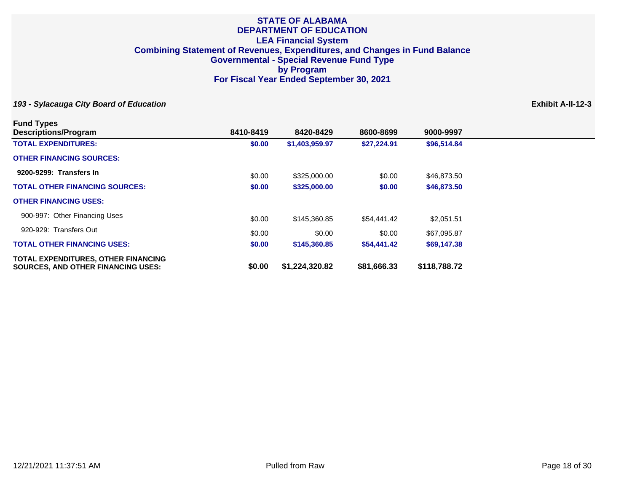| <b>Fund Types</b>                                                                       |           |                |             |              |
|-----------------------------------------------------------------------------------------|-----------|----------------|-------------|--------------|
| <b>Descriptions/Program</b>                                                             | 8410-8419 | 8420-8429      | 8600-8699   | 9000-9997    |
| <b>TOTAL EXPENDITURES:</b>                                                              | \$0.00    | \$1,403,959.97 | \$27,224.91 | \$96,514.84  |
| <b>OTHER FINANCING SOURCES:</b>                                                         |           |                |             |              |
| 9200-9299: Transfers In                                                                 | \$0.00    | \$325,000.00   | \$0.00      | \$46,873.50  |
| <b>TOTAL OTHER FINANCING SOURCES:</b>                                                   | \$0.00    | \$325,000.00   | \$0.00      | \$46,873.50  |
| <b>OTHER FINANCING USES:</b>                                                            |           |                |             |              |
| 900-997: Other Financing Uses                                                           | \$0.00    | \$145,360.85   | \$54,441.42 | \$2,051.51   |
| 920-929: Transfers Out                                                                  | \$0.00    | \$0.00         | \$0.00      | \$67,095.87  |
| <b>TOTAL OTHER FINANCING USES:</b>                                                      | \$0.00    | \$145,360.85   | \$54,441.42 | \$69,147.38  |
| <b>TOTAL EXPENDITURES, OTHER FINANCING</b><br><b>SOURCES, AND OTHER FINANCING USES:</b> | \$0.00    | \$1,224,320.82 | \$81,666.33 | \$118,788.72 |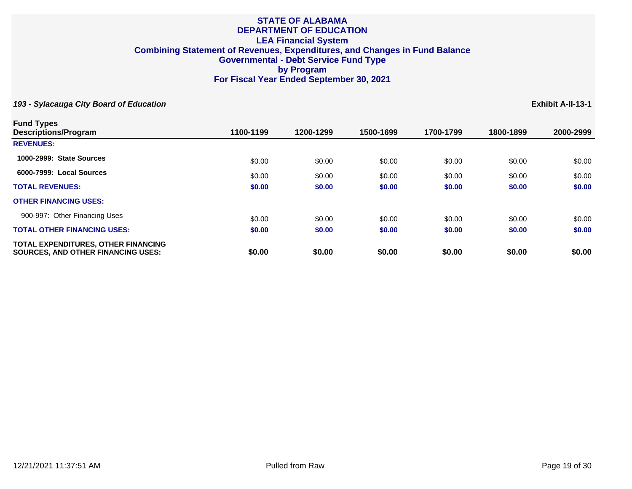| <b>Fund Types</b>                                                                       |           |           |           |           |           |           |
|-----------------------------------------------------------------------------------------|-----------|-----------|-----------|-----------|-----------|-----------|
| <b>Descriptions/Program</b>                                                             | 1100-1199 | 1200-1299 | 1500-1699 | 1700-1799 | 1800-1899 | 2000-2999 |
| <b>REVENUES:</b>                                                                        |           |           |           |           |           |           |
| 1000-2999: State Sources                                                                | \$0.00    | \$0.00    | \$0.00    | \$0.00    | \$0.00    | \$0.00    |
| 6000-7999: Local Sources                                                                | \$0.00    | \$0.00    | \$0.00    | \$0.00    | \$0.00    | \$0.00    |
| <b>TOTAL REVENUES:</b>                                                                  | \$0.00    | \$0.00    | \$0.00    | \$0.00    | \$0.00    | \$0.00    |
| <b>OTHER FINANCING USES:</b>                                                            |           |           |           |           |           |           |
| 900-997: Other Financing Uses                                                           | \$0.00    | \$0.00    | \$0.00    | \$0.00    | \$0.00    | \$0.00    |
| <b>TOTAL OTHER FINANCING USES:</b>                                                      | \$0.00    | \$0.00    | \$0.00    | \$0.00    | \$0.00    | \$0.00    |
| <b>TOTAL EXPENDITURES, OTHER FINANCING</b><br><b>SOURCES. AND OTHER FINANCING USES:</b> | \$0.00    | \$0.00    | \$0.00    | \$0.00    | \$0.00    | \$0.00    |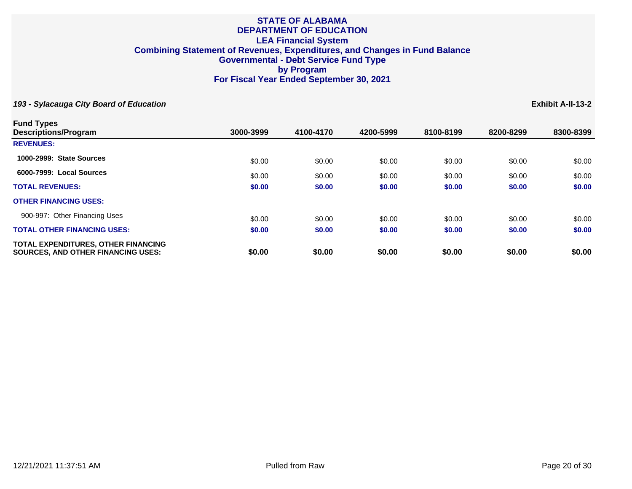| <b>Fund Types</b>                                                                       |           |           |           |           |           |           |
|-----------------------------------------------------------------------------------------|-----------|-----------|-----------|-----------|-----------|-----------|
| <b>Descriptions/Program</b>                                                             | 3000-3999 | 4100-4170 | 4200-5999 | 8100-8199 | 8200-8299 | 8300-8399 |
| <b>REVENUES:</b>                                                                        |           |           |           |           |           |           |
| 1000-2999: State Sources                                                                | \$0.00    | \$0.00    | \$0.00    | \$0.00    | \$0.00    | \$0.00    |
| 6000-7999: Local Sources                                                                | \$0.00    | \$0.00    | \$0.00    | \$0.00    | \$0.00    | \$0.00    |
| <b>TOTAL REVENUES:</b>                                                                  | \$0.00    | \$0.00    | \$0.00    | \$0.00    | \$0.00    | \$0.00    |
| <b>OTHER FINANCING USES:</b>                                                            |           |           |           |           |           |           |
| 900-997: Other Financing Uses                                                           | \$0.00    | \$0.00    | \$0.00    | \$0.00    | \$0.00    | \$0.00    |
| <b>TOTAL OTHER FINANCING USES:</b>                                                      | \$0.00    | \$0.00    | \$0.00    | \$0.00    | \$0.00    | \$0.00    |
| <b>TOTAL EXPENDITURES, OTHER FINANCING</b><br><b>SOURCES, AND OTHER FINANCING USES:</b> | \$0.00    | \$0.00    | \$0.00    | \$0.00    | \$0.00    | \$0.00    |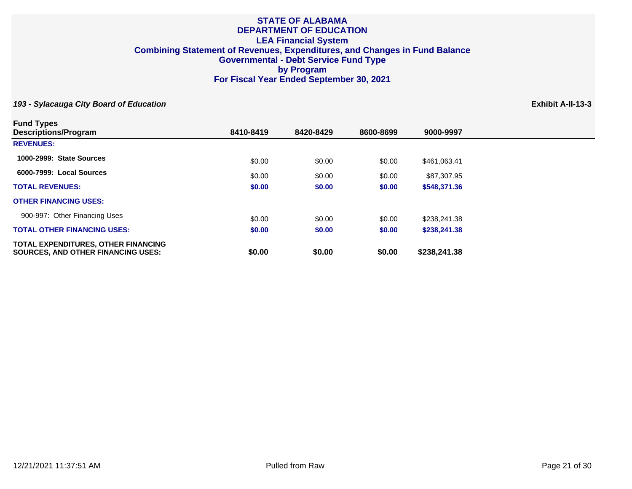| <b>Fund Types</b>                                                                       |           |           |           |              |
|-----------------------------------------------------------------------------------------|-----------|-----------|-----------|--------------|
| <b>Descriptions/Program</b>                                                             | 8410-8419 | 8420-8429 | 8600-8699 | 9000-9997    |
| <b>REVENUES:</b>                                                                        |           |           |           |              |
| 1000-2999: State Sources                                                                | \$0.00    | \$0.00    | \$0.00    | \$461,063.41 |
| 6000-7999: Local Sources                                                                | \$0.00    | \$0.00    | \$0.00    | \$87,307.95  |
| <b>TOTAL REVENUES:</b>                                                                  | \$0.00    | \$0.00    | \$0.00    | \$548,371.36 |
| <b>OTHER FINANCING USES:</b>                                                            |           |           |           |              |
| 900-997: Other Financing Uses                                                           | \$0.00    | \$0.00    | \$0.00    | \$238,241.38 |
| <b>TOTAL OTHER FINANCING USES:</b>                                                      | \$0.00    | \$0.00    | \$0.00    | \$238,241.38 |
| <b>TOTAL EXPENDITURES, OTHER FINANCING</b><br><b>SOURCES, AND OTHER FINANCING USES:</b> | \$0.00    | \$0.00    | \$0.00    | \$238,241.38 |
|                                                                                         |           |           |           |              |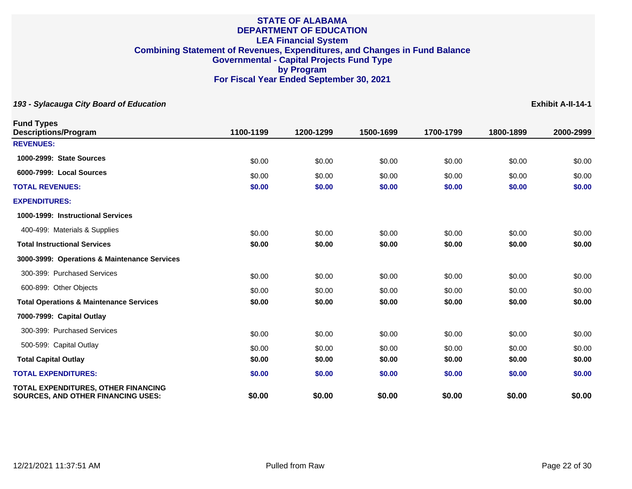| <b>Fund Types</b><br><b>Descriptions/Program</b>                                 | 1100-1199 | 1200-1299 | 1500-1699 | 1700-1799 | 1800-1899 | 2000-2999 |
|----------------------------------------------------------------------------------|-----------|-----------|-----------|-----------|-----------|-----------|
| <b>REVENUES:</b>                                                                 |           |           |           |           |           |           |
| 1000-2999: State Sources                                                         | \$0.00    | \$0.00    | \$0.00    | \$0.00    | \$0.00    | \$0.00    |
| 6000-7999: Local Sources                                                         | \$0.00    | \$0.00    | \$0.00    | \$0.00    | \$0.00    | \$0.00    |
| <b>TOTAL REVENUES:</b>                                                           | \$0.00    | \$0.00    | \$0.00    | \$0.00    | \$0.00    | \$0.00    |
| <b>EXPENDITURES:</b>                                                             |           |           |           |           |           |           |
| 1000-1999: Instructional Services                                                |           |           |           |           |           |           |
| 400-499: Materials & Supplies                                                    | \$0.00    | \$0.00    | \$0.00    | \$0.00    | \$0.00    | \$0.00    |
| <b>Total Instructional Services</b>                                              | \$0.00    | \$0.00    | \$0.00    | \$0.00    | \$0.00    | \$0.00    |
| 3000-3999: Operations & Maintenance Services                                     |           |           |           |           |           |           |
| 300-399: Purchased Services                                                      | \$0.00    | \$0.00    | \$0.00    | \$0.00    | \$0.00    | \$0.00    |
| 600-899: Other Objects                                                           | \$0.00    | \$0.00    | \$0.00    | \$0.00    | \$0.00    | \$0.00    |
| <b>Total Operations &amp; Maintenance Services</b>                               | \$0.00    | \$0.00    | \$0.00    | \$0.00    | \$0.00    | \$0.00    |
| 7000-7999: Capital Outlay                                                        |           |           |           |           |           |           |
| 300-399: Purchased Services                                                      | \$0.00    | \$0.00    | \$0.00    | \$0.00    | \$0.00    | \$0.00    |
| 500-599: Capital Outlay                                                          | \$0.00    | \$0.00    | \$0.00    | \$0.00    | \$0.00    | \$0.00    |
| <b>Total Capital Outlay</b>                                                      | \$0.00    | \$0.00    | \$0.00    | \$0.00    | \$0.00    | \$0.00    |
| <b>TOTAL EXPENDITURES:</b>                                                       | \$0.00    | \$0.00    | \$0.00    | \$0.00    | \$0.00    | \$0.00    |
| TOTAL EXPENDITURES, OTHER FINANCING<br><b>SOURCES, AND OTHER FINANCING USES:</b> | \$0.00    | \$0.00    | \$0.00    | \$0.00    | \$0.00    | \$0.00    |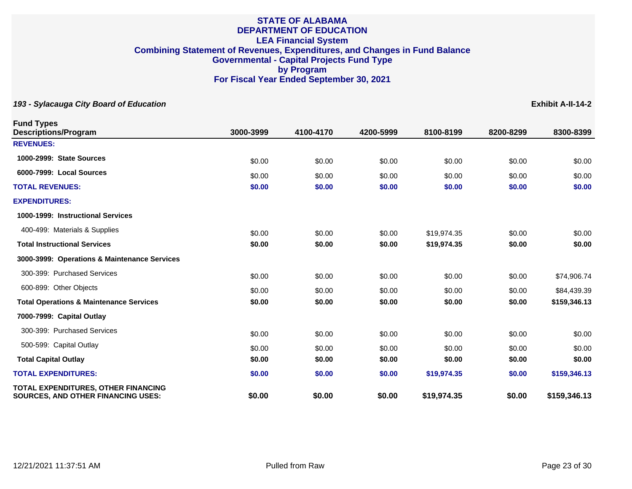| <b>Fund Types</b><br><b>Descriptions/Program</b>                                 | 3000-3999 | 4100-4170 | 4200-5999 | 8100-8199   | 8200-8299 | 8300-8399    |
|----------------------------------------------------------------------------------|-----------|-----------|-----------|-------------|-----------|--------------|
| <b>REVENUES:</b>                                                                 |           |           |           |             |           |              |
| 1000-2999: State Sources                                                         | \$0.00    | \$0.00    | \$0.00    | \$0.00      | \$0.00    | \$0.00       |
| 6000-7999: Local Sources                                                         | \$0.00    | \$0.00    | \$0.00    | \$0.00      | \$0.00    | \$0.00       |
| <b>TOTAL REVENUES:</b>                                                           | \$0.00    | \$0.00    | \$0.00    | \$0.00      | \$0.00    | \$0.00       |
| <b>EXPENDITURES:</b>                                                             |           |           |           |             |           |              |
| 1000-1999: Instructional Services                                                |           |           |           |             |           |              |
| 400-499: Materials & Supplies                                                    | \$0.00    | \$0.00    | \$0.00    | \$19,974.35 | \$0.00    | \$0.00       |
| <b>Total Instructional Services</b>                                              | \$0.00    | \$0.00    | \$0.00    | \$19,974.35 | \$0.00    | \$0.00       |
| 3000-3999: Operations & Maintenance Services                                     |           |           |           |             |           |              |
| 300-399: Purchased Services                                                      | \$0.00    | \$0.00    | \$0.00    | \$0.00      | \$0.00    | \$74,906.74  |
| 600-899: Other Objects                                                           | \$0.00    | \$0.00    | \$0.00    | \$0.00      | \$0.00    | \$84,439.39  |
| <b>Total Operations &amp; Maintenance Services</b>                               | \$0.00    | \$0.00    | \$0.00    | \$0.00      | \$0.00    | \$159,346.13 |
| 7000-7999: Capital Outlay                                                        |           |           |           |             |           |              |
| 300-399: Purchased Services                                                      | \$0.00    | \$0.00    | \$0.00    | \$0.00      | \$0.00    | \$0.00       |
| 500-599: Capital Outlay                                                          | \$0.00    | \$0.00    | \$0.00    | \$0.00      | \$0.00    | \$0.00       |
| <b>Total Capital Outlay</b>                                                      | \$0.00    | \$0.00    | \$0.00    | \$0.00      | \$0.00    | \$0.00       |
| <b>TOTAL EXPENDITURES:</b>                                                       | \$0.00    | \$0.00    | \$0.00    | \$19,974.35 | \$0.00    | \$159,346.13 |
| TOTAL EXPENDITURES, OTHER FINANCING<br><b>SOURCES, AND OTHER FINANCING USES:</b> | \$0.00    | \$0.00    | \$0.00    | \$19,974.35 | \$0.00    | \$159,346.13 |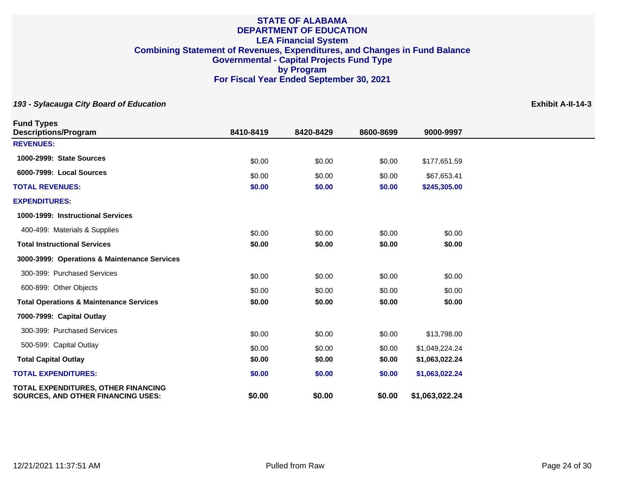| <b>Fund Types</b><br><b>Descriptions/Program</b>                                        | 8410-8419 | 8420-8429 | 8600-8699 | 9000-9997      |  |
|-----------------------------------------------------------------------------------------|-----------|-----------|-----------|----------------|--|
| <b>REVENUES:</b>                                                                        |           |           |           |                |  |
| 1000-2999: State Sources                                                                | \$0.00    | \$0.00    | \$0.00    | \$177,651.59   |  |
| 6000-7999: Local Sources                                                                | \$0.00    | \$0.00    | \$0.00    | \$67,653.41    |  |
| <b>TOTAL REVENUES:</b>                                                                  | \$0.00    | \$0.00    | \$0.00    | \$245,305.00   |  |
| <b>EXPENDITURES:</b>                                                                    |           |           |           |                |  |
| 1000-1999: Instructional Services                                                       |           |           |           |                |  |
| 400-499: Materials & Supplies                                                           | \$0.00    | \$0.00    | \$0.00    | \$0.00         |  |
| <b>Total Instructional Services</b>                                                     | \$0.00    | \$0.00    | \$0.00    | \$0.00         |  |
| 3000-3999: Operations & Maintenance Services                                            |           |           |           |                |  |
| 300-399: Purchased Services                                                             | \$0.00    | \$0.00    | \$0.00    | \$0.00         |  |
| 600-899: Other Objects                                                                  | \$0.00    | \$0.00    | \$0.00    | \$0.00         |  |
| <b>Total Operations &amp; Maintenance Services</b>                                      | \$0.00    | \$0.00    | \$0.00    | \$0.00         |  |
| 7000-7999: Capital Outlay                                                               |           |           |           |                |  |
| 300-399: Purchased Services                                                             | \$0.00    | \$0.00    | \$0.00    | \$13,798.00    |  |
| 500-599: Capital Outlay                                                                 | \$0.00    | \$0.00    | \$0.00    | \$1,049,224.24 |  |
| <b>Total Capital Outlay</b>                                                             | \$0.00    | \$0.00    | \$0.00    | \$1,063,022.24 |  |
| <b>TOTAL EXPENDITURES:</b>                                                              | \$0.00    | \$0.00    | \$0.00    | \$1,063,022.24 |  |
| <b>TOTAL EXPENDITURES, OTHER FINANCING</b><br><b>SOURCES, AND OTHER FINANCING USES:</b> | \$0.00    | \$0.00    | \$0.00    | \$1,063,022.24 |  |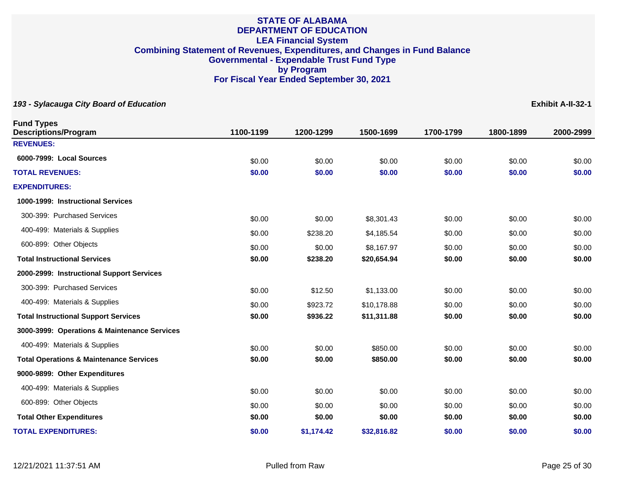| <b>Fund Types</b><br><b>Descriptions/Program</b>   | 1100-1199 | 1200-1299  | 1500-1699   | 1700-1799 | 1800-1899 | 2000-2999 |
|----------------------------------------------------|-----------|------------|-------------|-----------|-----------|-----------|
| <b>REVENUES:</b>                                   |           |            |             |           |           |           |
| 6000-7999: Local Sources                           | \$0.00    | \$0.00     | \$0.00      | \$0.00    | \$0.00    | \$0.00    |
| <b>TOTAL REVENUES:</b>                             | \$0.00    | \$0.00     | \$0.00      | \$0.00    | \$0.00    | \$0.00    |
| <b>EXPENDITURES:</b>                               |           |            |             |           |           |           |
| 1000-1999: Instructional Services                  |           |            |             |           |           |           |
| 300-399: Purchased Services                        | \$0.00    | \$0.00     | \$8,301.43  | \$0.00    | \$0.00    | \$0.00    |
| 400-499: Materials & Supplies                      | \$0.00    | \$238.20   | \$4,185.54  | \$0.00    | \$0.00    | \$0.00    |
| 600-899: Other Objects                             | \$0.00    | \$0.00     | \$8,167.97  | \$0.00    | \$0.00    | \$0.00    |
| <b>Total Instructional Services</b>                | \$0.00    | \$238.20   | \$20,654.94 | \$0.00    | \$0.00    | \$0.00    |
| 2000-2999: Instructional Support Services          |           |            |             |           |           |           |
| 300-399: Purchased Services                        | \$0.00    | \$12.50    | \$1,133.00  | \$0.00    | \$0.00    | \$0.00    |
| 400-499: Materials & Supplies                      | \$0.00    | \$923.72   | \$10,178.88 | \$0.00    | \$0.00    | \$0.00    |
| <b>Total Instructional Support Services</b>        | \$0.00    | \$936.22   | \$11,311.88 | \$0.00    | \$0.00    | \$0.00    |
| 3000-3999: Operations & Maintenance Services       |           |            |             |           |           |           |
| 400-499: Materials & Supplies                      | \$0.00    | \$0.00     | \$850.00    | \$0.00    | \$0.00    | \$0.00    |
| <b>Total Operations &amp; Maintenance Services</b> | \$0.00    | \$0.00     | \$850.00    | \$0.00    | \$0.00    | \$0.00    |
| 9000-9899: Other Expenditures                      |           |            |             |           |           |           |
| 400-499: Materials & Supplies                      | \$0.00    | \$0.00     | \$0.00      | \$0.00    | \$0.00    | \$0.00    |
| 600-899: Other Objects                             | \$0.00    | \$0.00     | \$0.00      | \$0.00    | \$0.00    | \$0.00    |
| <b>Total Other Expenditures</b>                    | \$0.00    | \$0.00     | \$0.00      | \$0.00    | \$0.00    | \$0.00    |
| <b>TOTAL EXPENDITURES:</b>                         | \$0.00    | \$1,174.42 | \$32,816.82 | \$0.00    | \$0.00    | \$0.00    |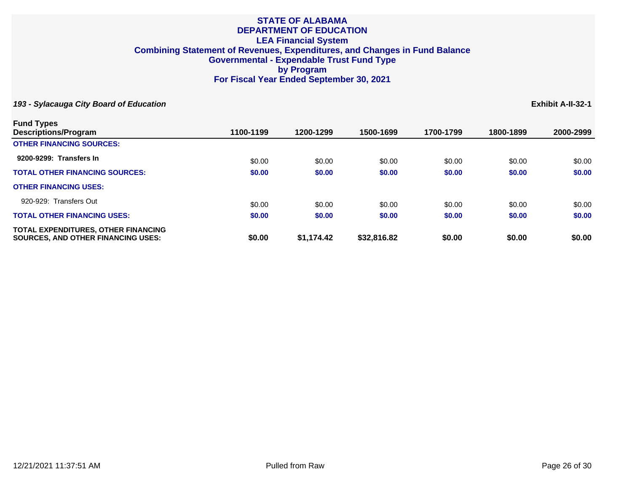| <b>Fund Types</b>                                                                       |           |            |             |           |           |           |
|-----------------------------------------------------------------------------------------|-----------|------------|-------------|-----------|-----------|-----------|
| <b>Descriptions/Program</b>                                                             | 1100-1199 | 1200-1299  | 1500-1699   | 1700-1799 | 1800-1899 | 2000-2999 |
| <b>OTHER FINANCING SOURCES:</b>                                                         |           |            |             |           |           |           |
| 9200-9299: Transfers In                                                                 | \$0.00    | \$0.00     | \$0.00      | \$0.00    | \$0.00    | \$0.00    |
| <b>TOTAL OTHER FINANCING SOURCES:</b>                                                   | \$0.00    | \$0.00     | \$0.00      | \$0.00    | \$0.00    | \$0.00    |
| <b>OTHER FINANCING USES:</b>                                                            |           |            |             |           |           |           |
| 920-929: Transfers Out                                                                  | \$0.00    | \$0.00     | \$0.00      | \$0.00    | \$0.00    | \$0.00    |
| <b>TOTAL OTHER FINANCING USES:</b>                                                      | \$0.00    | \$0.00     | \$0.00      | \$0.00    | \$0.00    | \$0.00    |
| <b>TOTAL EXPENDITURES, OTHER FINANCING</b><br><b>SOURCES. AND OTHER FINANCING USES:</b> | \$0.00    | \$1,174.42 | \$32,816.82 | \$0.00    | \$0.00    | \$0.00    |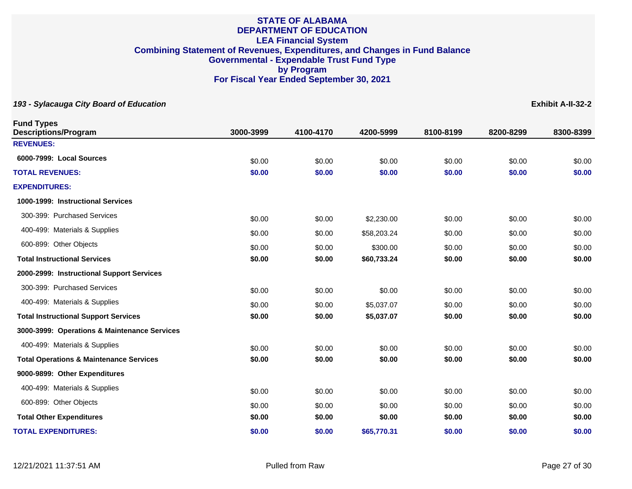| <b>Fund Types</b><br><b>Descriptions/Program</b>   | 3000-3999        | 4100-4170        | 4200-5999                | 8100-8199        | 8200-8299        | 8300-8399        |
|----------------------------------------------------|------------------|------------------|--------------------------|------------------|------------------|------------------|
| <b>REVENUES:</b>                                   |                  |                  |                          |                  |                  |                  |
| 6000-7999: Local Sources                           | \$0.00           | \$0.00           | \$0.00                   | \$0.00           | \$0.00           | \$0.00           |
| <b>TOTAL REVENUES:</b>                             | \$0.00           | \$0.00           | \$0.00                   | \$0.00           | \$0.00           | \$0.00           |
| <b>EXPENDITURES:</b>                               |                  |                  |                          |                  |                  |                  |
| 1000-1999: Instructional Services                  |                  |                  |                          |                  |                  |                  |
| 300-399: Purchased Services                        | \$0.00           | \$0.00           | \$2,230.00               | \$0.00           | \$0.00           | \$0.00           |
| 400-499: Materials & Supplies                      | \$0.00           | \$0.00           | \$58,203.24              | \$0.00           | \$0.00           | \$0.00           |
| 600-899: Other Objects                             | \$0.00           | \$0.00           | \$300.00                 | \$0.00           | \$0.00           | \$0.00           |
| <b>Total Instructional Services</b>                | \$0.00           | \$0.00           | \$60,733.24              | \$0.00           | \$0.00           | \$0.00           |
| 2000-2999: Instructional Support Services          |                  |                  |                          |                  |                  |                  |
| 300-399: Purchased Services                        | \$0.00           | \$0.00           | \$0.00                   | \$0.00           | \$0.00           | \$0.00           |
| 400-499: Materials & Supplies                      |                  |                  |                          |                  |                  |                  |
| <b>Total Instructional Support Services</b>        | \$0.00<br>\$0.00 | \$0.00<br>\$0.00 | \$5,037.07<br>\$5,037.07 | \$0.00<br>\$0.00 | \$0.00<br>\$0.00 | \$0.00<br>\$0.00 |
| 3000-3999: Operations & Maintenance Services       |                  |                  |                          |                  |                  |                  |
| 400-499: Materials & Supplies                      |                  |                  |                          |                  |                  |                  |
| <b>Total Operations &amp; Maintenance Services</b> | \$0.00<br>\$0.00 | \$0.00<br>\$0.00 | \$0.00<br>\$0.00         | \$0.00<br>\$0.00 | \$0.00<br>\$0.00 | \$0.00<br>\$0.00 |
| 9000-9899: Other Expenditures                      |                  |                  |                          |                  |                  |                  |
|                                                    |                  |                  |                          |                  |                  |                  |
| 400-499: Materials & Supplies                      | \$0.00           | \$0.00           | \$0.00                   | \$0.00           | \$0.00           | \$0.00           |
| 600-899: Other Objects                             | \$0.00           | \$0.00           | \$0.00                   | \$0.00           | \$0.00           | \$0.00           |
| <b>Total Other Expenditures</b>                    | \$0.00           | \$0.00           | \$0.00                   | \$0.00           | \$0.00           | \$0.00           |
| <b>TOTAL EXPENDITURES:</b>                         | \$0.00           | \$0.00           | \$65,770.31              | \$0.00           | \$0.00           | \$0.00           |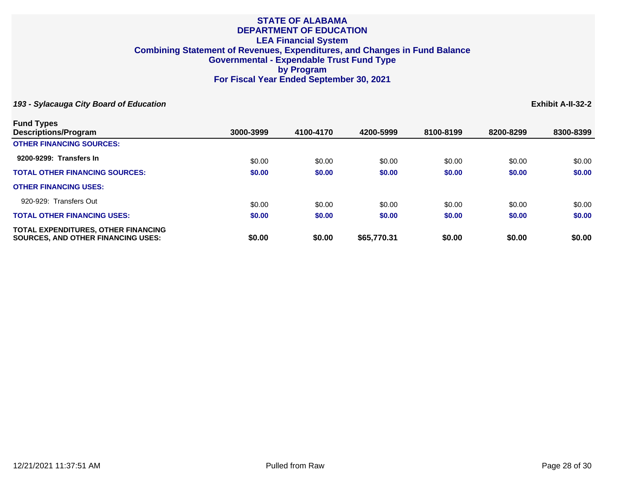| <b>Fund Types</b>                                                                       |           |           |             |           |           |           |
|-----------------------------------------------------------------------------------------|-----------|-----------|-------------|-----------|-----------|-----------|
| Descriptions/Program                                                                    | 3000-3999 | 4100-4170 | 4200-5999   | 8100-8199 | 8200-8299 | 8300-8399 |
| <b>OTHER FINANCING SOURCES:</b>                                                         |           |           |             |           |           |           |
| 9200-9299: Transfers In                                                                 | \$0.00    | \$0.00    | \$0.00      | \$0.00    | \$0.00    | \$0.00    |
| <b>TOTAL OTHER FINANCING SOURCES:</b>                                                   | \$0.00    | \$0.00    | \$0.00      | \$0.00    | \$0.00    | \$0.00    |
| <b>OTHER FINANCING USES:</b>                                                            |           |           |             |           |           |           |
| 920-929: Transfers Out                                                                  | \$0.00    | \$0.00    | \$0.00      | \$0.00    | \$0.00    | \$0.00    |
| <b>TOTAL OTHER FINANCING USES:</b>                                                      | \$0.00    | \$0.00    | \$0.00      | \$0.00    | \$0.00    | \$0.00    |
| <b>TOTAL EXPENDITURES, OTHER FINANCING</b><br><b>SOURCES. AND OTHER FINANCING USES:</b> | \$0.00    | \$0.00    | \$65,770.31 | \$0.00    | \$0.00    | \$0.00    |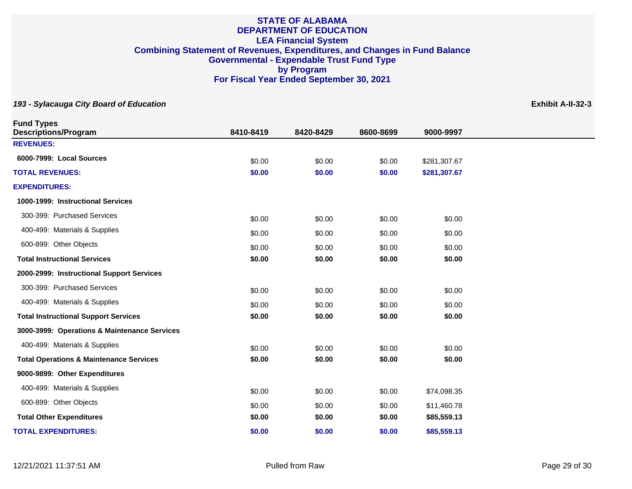| 8410-8419 | 8420-8429                                                                    | 8600-8699                            | 9000-9997                                                          |                                                                |
|-----------|------------------------------------------------------------------------------|--------------------------------------|--------------------------------------------------------------------|----------------------------------------------------------------|
|           |                                                                              |                                      |                                                                    |                                                                |
|           | \$0.00                                                                       | \$0.00                               |                                                                    |                                                                |
| \$0.00    | \$0.00                                                                       | \$0.00                               | \$281,307.67                                                       |                                                                |
|           |                                                                              |                                      |                                                                    |                                                                |
|           |                                                                              |                                      |                                                                    |                                                                |
|           |                                                                              |                                      |                                                                    |                                                                |
| \$0.00    | \$0.00                                                                       | \$0.00                               | \$0.00                                                             |                                                                |
|           | \$0.00                                                                       |                                      |                                                                    |                                                                |
| \$0.00    | \$0.00                                                                       | \$0.00                               | \$0.00                                                             |                                                                |
|           |                                                                              |                                      |                                                                    |                                                                |
|           |                                                                              |                                      |                                                                    |                                                                |
|           |                                                                              |                                      |                                                                    |                                                                |
| \$0.00    | \$0.00                                                                       | \$0.00                               | \$0.00                                                             |                                                                |
|           |                                                                              |                                      |                                                                    |                                                                |
|           | \$0.00                                                                       |                                      |                                                                    |                                                                |
| \$0.00    | \$0.00                                                                       | \$0.00                               | \$0.00                                                             |                                                                |
|           |                                                                              |                                      |                                                                    |                                                                |
|           | \$0.00                                                                       |                                      | \$74,098.35                                                        |                                                                |
|           |                                                                              |                                      | \$11,460.78                                                        |                                                                |
| \$0.00    | \$0.00                                                                       | \$0.00                               | \$85,559.13                                                        |                                                                |
| \$0.00    | \$0.00                                                                       | \$0.00                               | \$85,559.13                                                        |                                                                |
|           | \$0.00<br>\$0.00<br>\$0.00<br>\$0.00<br>\$0.00<br>\$0.00<br>\$0.00<br>\$0.00 | \$0.00<br>\$0.00<br>\$0.00<br>\$0.00 | \$0.00<br>\$0.00<br>\$0.00<br>\$0.00<br>\$0.00<br>\$0.00<br>\$0.00 | \$281,307.67<br>\$0.00<br>\$0.00<br>\$0.00<br>\$0.00<br>\$0.00 |